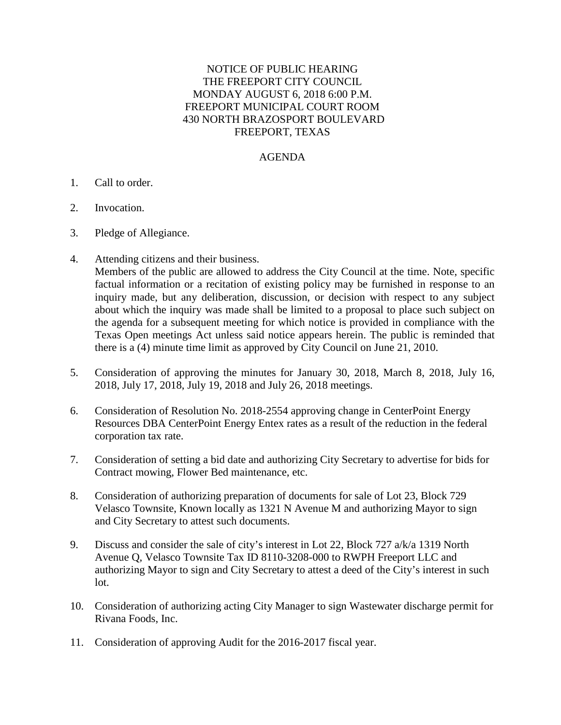## NOTICE OF PUBLIC HEARING THE FREEPORT CITY COUNCIL MONDAY AUGUST 6, 2018 6:00 P.M. FREEPORT MUNICIPAL COURT ROOM 430 NORTH BRAZOSPORT BOULEVARD FREEPORT, TEXAS

## AGENDA

- 1. Call to order.
- 2. Invocation.
- 3. Pledge of Allegiance.
- 4. Attending citizens and their business.

Members of the public are allowed to address the City Council at the time. Note, specific factual information or a recitation of existing policy may be furnished in response to an inquiry made, but any deliberation, discussion, or decision with respect to any subject about which the inquiry was made shall be limited to a proposal to place such subject on the agenda for a subsequent meeting for which notice is provided in compliance with the Texas Open meetings Act unless said notice appears herein. The public is reminded that there is a (4) minute time limit as approved by City Council on June 21, 2010.

- 5. Consideration of approving the minutes for January 30, 2018, March 8, 2018, July 16, 2018, July 17, 2018, July 19, 2018 and July 26, 2018 meetings.
- 6. Consideration of Resolution No. 2018-2554 approving change in CenterPoint Energy Resources DBA CenterPoint Energy Entex rates as a result of the reduction in the federal corporation tax rate.
- 7. Consideration of setting a bid date and authorizing City Secretary to advertise for bids for Contract mowing, Flower Bed maintenance, etc.
- 8. Consideration of authorizing preparation of documents for sale of Lot 23, Block 729 Velasco Townsite, Known locally as 1321 N Avenue M and authorizing Mayor to sign and City Secretary to attest such documents.
- 9. Discuss and consider the sale of city's interest in Lot 22, Block 727 a/k/a 1319 North Avenue Q, Velasco Townsite Tax ID 8110-3208-000 to RWPH Freeport LLC and authorizing Mayor to sign and City Secretary to attest a deed of the City's interest in such lot.
- 10. Consideration of authorizing acting City Manager to sign Wastewater discharge permit for Rivana Foods, Inc.
- 11. Consideration of approving Audit for the 2016-2017 fiscal year.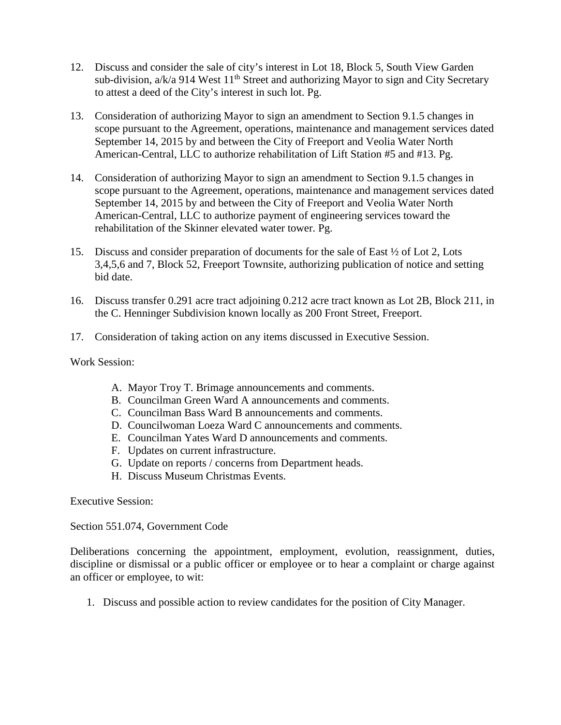- 12. Discuss and consider the sale of city's interest in Lot 18, Block 5, South View Garden sub-division,  $a/k/a$  914 West 11<sup>th</sup> Street and authorizing Mayor to sign and City Secretary to attest a deed of the City's interest in such lot. Pg.
- 13. Consideration of authorizing Mayor to sign an amendment to Section 9.1.5 changes in scope pursuant to the Agreement, operations, maintenance and management services dated September 14, 2015 by and between the City of Freeport and Veolia Water North American-Central, LLC to authorize rehabilitation of Lift Station #5 and #13. Pg.
- 14. Consideration of authorizing Mayor to sign an amendment to Section 9.1.5 changes in scope pursuant to the Agreement, operations, maintenance and management services dated September 14, 2015 by and between the City of Freeport and Veolia Water North American-Central, LLC to authorize payment of engineering services toward the rehabilitation of the Skinner elevated water tower. Pg.
- 15. Discuss and consider preparation of documents for the sale of East ½ of Lot 2, Lots 3,4,5,6 and 7, Block 52, Freeport Townsite, authorizing publication of notice and setting bid date.
- 16. Discuss transfer 0.291 acre tract adjoining 0.212 acre tract known as Lot 2B, Block 211, in the C. Henninger Subdivision known locally as 200 Front Street, Freeport.
- 17. Consideration of taking action on any items discussed in Executive Session.

Work Session:

- A. Mayor Troy T. Brimage announcements and comments.
- B. Councilman Green Ward A announcements and comments.
- C. Councilman Bass Ward B announcements and comments.
- D. Councilwoman Loeza Ward C announcements and comments.
- E. Councilman Yates Ward D announcements and comments.
- F. Updates on current infrastructure.
- G. Update on reports / concerns from Department heads.
- H. Discuss Museum Christmas Events.

Executive Session:

Section 551.074, Government Code

Deliberations concerning the appointment, employment, evolution, reassignment, duties, discipline or dismissal or a public officer or employee or to hear a complaint or charge against an officer or employee, to wit:

1. Discuss and possible action to review candidates for the position of City Manager.